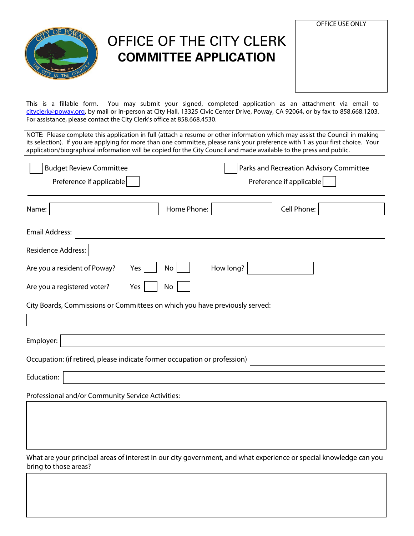

## OFFICE OF THE CITY CLERK **COMMITTEE APPLICATION**

| <b>OFFICE USE ONLY</b> |  |
|------------------------|--|
|                        |  |
|                        |  |
|                        |  |
|                        |  |
|                        |  |
|                        |  |
|                        |  |
|                        |  |

This is a fillable form. You may submit your signed, completed application as an attachment via email to [cityclerk@poway.org,](mailto:cityclerk@poway.org) by mail or in-person at City Hall, 13325 Civic Center Drive, Poway, CA 92064, or by fax to 858.668.1203. For assistance, please contact the City Clerk's office at 858.668.4530.

NOTE: Please complete this application in full (attach a resume or other information which may assist the Council in making its selection). If you are applying for more than one committee, please rank your preference with 1 as your first choice. Your application/biographical information will be copied for the City Council and made available to the press and public.

| <b>Budget Review Committee</b><br>Preference if applicable                  | Parks and Recreation Advisory Committee<br>Preference if applicable |
|-----------------------------------------------------------------------------|---------------------------------------------------------------------|
| Home Phone:<br>Name:                                                        | Cell Phone:                                                         |
| Email Address:                                                              |                                                                     |
| Residence Address:                                                          |                                                                     |
| Are you a resident of Poway?<br><b>No</b><br>Yes                            | How long?                                                           |
| Are you a registered voter?<br>No<br>Yes                                    |                                                                     |
| City Boards, Commissions or Committees on which you have previously served: |                                                                     |
|                                                                             |                                                                     |
| Employer:                                                                   |                                                                     |
| Occupation: (if retired, please indicate former occupation or profession)   |                                                                     |
| Education:                                                                  |                                                                     |
| Professional and/or Community Service Activities:                           |                                                                     |
|                                                                             |                                                                     |
|                                                                             |                                                                     |

What are your principal areas of interest in our city government, and what experience or special knowledge can you bring to those areas?